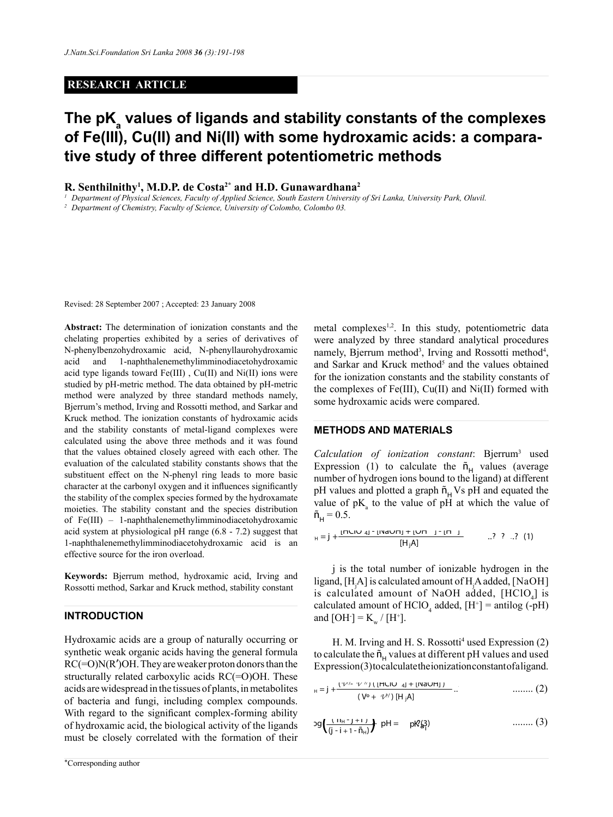# **RESEARCH ARTICLE**

# **The pKa values of ligands and stability constants of the complexes of Fe(III), Cu(II) and Ni(II) with some hydroxamic acids: a comparative study of three different potentiometric methods**

**R. Senthilnithy1 , M.D.P. de Costa2\* and H.D. Gunawardhana<sup>2</sup>**

<sup>1</sup> Department of Physical Sciences, Faculty of Applied Science, South Eastern University of Sri Lanka, University Park, Oluvil.<br><sup>2</sup> Department of Chemistry, Faculty of Science, University of Colombo, Colombo 03.

Revised: 28 September 2007 ; Accepted: 23 January 2008

**Abstract:** The determination of ionization constants and the chelating properties exhibited by a series of derivatives of N-phenylbenzohydroxamic acid, N-phenyllaurohydroxamic acid and 1-naphthalenemethylimminodiacetohydroxamic acid type ligands toward  $Fe(III)$ ,  $Cu(II)$  and  $Ni(II)$  ions were studied by pH-metric method. The data obtained by pH-metric method were analyzed by three standard methods namely, Bjerrum's method, Irving and Rossotti method, and Sarkar and Kruck method. The ionization constants of hydroxamic acids and the stability constants of metal-ligand complexes were calculated using the above three methods and it was found that the values obtained closely agreed with each other. The evaluation of the calculated stability constants shows that the substituent effect on the N-phenyl ring leads to more basic character at the carbonyl oxygen and it influences significantly the stability of the complex species formed by the hydroxamate moieties. The stability constant and the species distribution  $\tilde{h}_H = 0.5$ . of Fe(III) – 1-naphthalenemethylimminodiacetohydroxamic acid system at physiological pH range (6.8 - 7.2) suggest that 1-naphthalenemethylimminodiacetohydroxamic acid is an effective source for the iron overload.

**Keywords:** Bjerrum method, hydroxamic acid, Irving and Rossotti method, Sarkar and Kruck method, stability constant

# **Introduction**

Hydroxamic acids are a group of naturally occurring or synthetic weak organic acids having the general formula  $RC(=O)N(R')OH$ . They are weaker proton donors than the structurally related carboxylic acids RC(=O)OH. These acids are widespread in the tissues of plants, in metabolites of bacteria and fungi, including complex compounds. With regard to the significant complex-forming ability what regard to the significant complex forming domy<br>of hydroxamic acid, the biological activity of the ligands must be closely correlated with the formation of their <sup>ñ</sup><sup>H</sup> <sup>=</sup> <sup>j</sup> <sup>+</sup> ..? (2) (*V?*

metal complexes<sup>1,2</sup>. In this study, potentiometric data were analyzed by three standard analytical procedures namely, Bjerrum method<sup>3</sup>, Irving and Rossotti method<sup>4</sup>, and Sarkar and Kruck method<sup>5</sup> and the values obtained for the ionization constants and the stability constants of the complexes of Fe(III), Cu(II) and Ni(II) formed with some hydroxamic acids were compared.

### **METHODS AND MATERIALS**

Calculation of ionization constant: Bjerrum<sup>3</sup> used Expression (1) to calculate the  $\tilde{n}_{H}$  values (average number of hydrogen ions bound to the ligand) at different number of nydrogen fons bound to the figand) at different pH values and plotted a graph  $\tilde{n}_{\rm H}$  Vs pH and equated the value of  $pK_a$  to the value of pH at which the value of  $\tilde{n}_{\rm H} = 0.5$ .

$$
I_{H} = j + \frac{lnUU(1)}{2} + \frac{lnUU(1)}{2} + \frac{lnU}{2}
$$

j is the total number of ionizable hydrogen in the ligand, [H<sub>j</sub>A] is calculated amount of H<sub>j</sub>A added, [NaOH] is calculated amount of NaOH added,  $[HClO<sub>4</sub>]$  is calculated amount of  $HClO_4$  added,  $[H^+]$  = antilog (-pH) and  $[OH^-] = K_w / [H^+].$ 

H. M. Irving and H. S. Rossotti<sup>4</sup> used Expression (2) to calculate the  $\tilde{n}_{\mu}$  values at different pH values and used Expression(3) to calculate the ionization constant of a ligand.

$$
_{H} = j + \frac{(\sqrt{2}/2 - \sqrt{2}/3) (\lfloor HClO_{4}\rfloor + \lfloor NaOH\rfloor)}{(\sqrt{6} + \sqrt{2}/3) [\lfloor H \rfloor A]} ... \qquad \qquad \dots \dots \dots \tag{2}
$$

$$
log\left(\frac{(n_{H}-j+1)}{(j-i+1-\tilde{n}_{H})}\right) pH = pR\left(\frac{3}{4}\right)
$$
 ......(3)

( Vº + *V?* ) [H jA] */*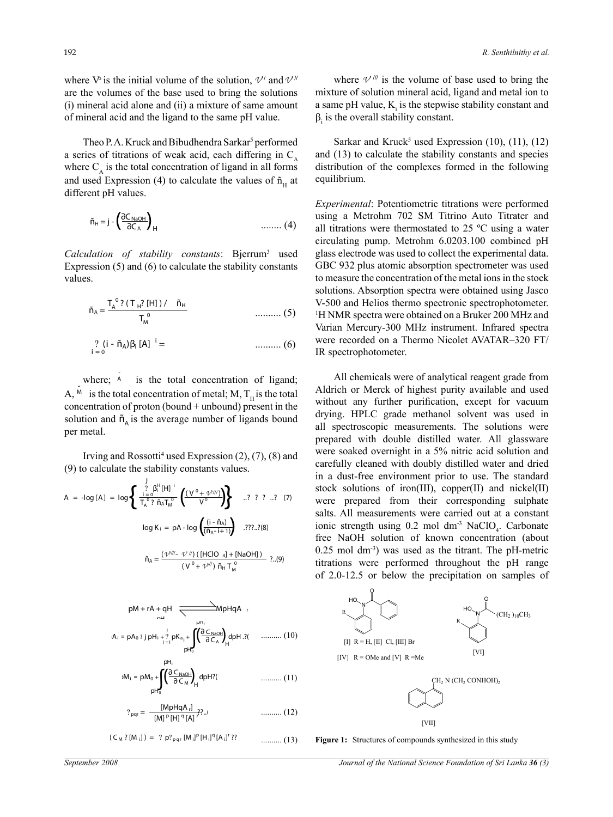where  $V^{\delta}$  is the initial volume of the solution,  $V^{\prime}$  and  $V^{\prime\prime}$ are the volumes of the base used to bring the solutions (i) mineral acid alone and (ii) a mixture of same amount of mineral acid and the ligand to the same pH value.

Theo P.A. Kruck and Bibudhendra Sarkar<sup>5</sup> performed Theo P.A. Kruck and Bibudhendra Sarkar<sup>5</sup> performed<br>a series of titrations of weak acid, each differing in  $C_A$ <br>where C, is the total concentration of ligand in all forms where  $C_{\text{A}}$  is the total concentration of ligand in all forms and used Expression (4) to calculate the values of  $\tilde{n}_{\text{H}}$  at different pH values. **a** s

$$
\tilde{n}_{H} = j - \left(\frac{\partial C_{NaOH}}{\partial C_{A}}\right)_{H}
$$
us.  
11. (4) al  
cii

values. *Calculation of stability constants*: Bjerrum<sup>3</sup> used<br>Expression (5) and (6) to eslaulate the stability constants Expression (5) and (6) to calculate the stability constants Calculation of stability constants: Bjern<br>Calculation of stability constants: Bjern

$$
\tilde{n}_{A} = \frac{T_{A}^{0} ? (T_{H} ? [H]) / \tilde{n}_{H}}{T_{M}^{0}}
$$
 (5)

$$
\frac{?}{i=0} (i - \tilde{n}_A) \beta_i [A]^{-i} = \qquad \qquad \dots \dots \dots \dots \tag{6}
$$

A,  $\stackrel{M}{\sim}$  is the total concentration of metal; M, T<sub>H</sub> is the total where;  $\overrightarrow{A}$  is the total concentration of ligand;  $T_{\rm H}$ , is the total concentration of metal,  $M_{\rm H}$  is the total concentration of proton (bound + unbound) present in the  $\overline{M}$ solution and  $\tilde{n}_A$  is the average number of ligands bound per metal.

> Irving and Rossotti<sup>4</sup> used Expression (2), (7), (8) and stability constants values<br>  $j$ <br>  $\frac{\beta^{H}[H]}{(\gamma^{0} + \alpha^{2H})}$

(9) to calculate the stability constants values.  
\n
$$
A = -\log[A] = \log \left\{ \frac{\sum_{i=0}^{j} \beta_i^H [H]^i}{T_A^0 ? \overline{n}_A T_M^0} \left( \frac{(V^0 + T^2 / U^0)}{V^0} \right) \right\} \dots ? ? ? \dots ? \quad (7) \text{ stock solution}
$$
\n
$$
\log K_i = pA - \log \left( \frac{(i - \overline{n}_A)}{(\overline{n}_A - i + 1)} \right) \dots ? ? ? ? ? ? \quad (7) \text{ since the program is a list. All mean\n
$$
\overline{n}_A = \frac{(T^{2/III} - T^0) / ([HClO_A] + [NaOH])}{(V^0 + T^0)^2 \overline{n}_H T_M^0} ? . (9) \qquad 0.25 \text{ mol dm}^{-3}
$$
\n
$$
\text{intations were} \qquad \text{of } 2.0-12.5 \text{ on } 3.5 \text{ rad}
$$
$$

$$
pM + rA + qH \xrightarrow{\mu r_1} MpHqA \rR
$$
  
\n
$$
pA_i = pA_0 ?j pH_i + \sum_{i=1}^{j} pK_{a_i+1} \int_{pH_0}^{pH_1} \left( \frac{\partial C_{Na0H}}{\partial C_A} \right)_H dpH. ? \rL \dots \dots \dots \dots (10)
$$

$$
M_{i} = pM_{0} + \int_{pH_{0}^{T}} \left( \frac{\partial C_{NaOH}}{\partial C_{M}} \right)_{H} dpH? \tag{11}
$$

$$
?_{\text{pqr}} = \frac{[M \text{pHqA}_{1}]}{[M]^{\text{p}}[H]^{\text{q}}[A]^{\text{r}}^{2}}.
$$
 (12)

$$
(C_M ? [M_i]) = ? p?_{pqr} [M_i]^p [H_i]^q [A_i]^r
$$
 ?

where  $V$ <sup>*////</sup>* is the volume of base used to bring the</sup> mixture of solution mineral acid, ligand and metal ion to a same pH value,  $K<sub>i</sub>$  is the stepwise stability constant and  $\beta$ <sub>i</sub> is the overall stability constant.

formed Sarkar and Kruck<sup>5</sup> used Expression (10), (11), (12)<br>log in  $C =$  and (13) to calculate the stability constants and species and (13) to calculate the stability constants and species distribution of the complexes formed in the following equilibrium.

(5) H NMR spectra were obtained on a Bruker 200 MHz and<br>Notion Marquey 200 MHz instrument. Infrared apostra Varian Mercury-300 MHz instrument. Infrared spectra *Experimental*: Potentiometric titrations were performed using a Metrohm 702 SM Titrino Auto Titrater and all titrations were thermostated to 25 ºC using a water circulating pump. Metrohm 6.0203.100 combined pH glass electrode was used to collect the experimental data. GBC 932 plus atomic absorption spectrometer was used to measure the concentration of the metal ions in the stock solutions. Absorption spectra were obtained using Jasco V-500 and Helios thermo spectronic spectrophotometer. were recorded on a Thermo Nicolet AVATAR–320 FT/ IR spectrophotometer.

1 prepared with double distilled water. All glassware were soaked overnight in a 5% nitric acid solution and All chemicals were of analytical reagent grade from Aldrich or Merck of highest purity available and used without any further purification, except for vacuum drying. HPLC grade methanol solvent was used in all spectroscopic measurements. The solutions were carefully cleaned with doubly distilled water and dried in a dust-free environment prior to use. The standard stock solutions of iron(III), copper(II) and nickel(II) were prepared from their corresponding sulphate salts. All measurements were carried out at a constant ionic strength using  $0.2$  mol dm<sup>-3</sup> NaClO<sub>4</sub>. Carbonate free NaOH solution of known concentration (about  $(0.25 \text{ mol dm}^3)$  was used as the titrant. The pH-metric  $\frac{d_1 + [NaOH]}{d_1 + [NaOH]}$  ...(9) 0.25 mol dm<sup>3</sup>) was used as the titrant. The pH-metric titrations were performed throughout the pH range of 2.0-12.5 or below the precipitation on samples of



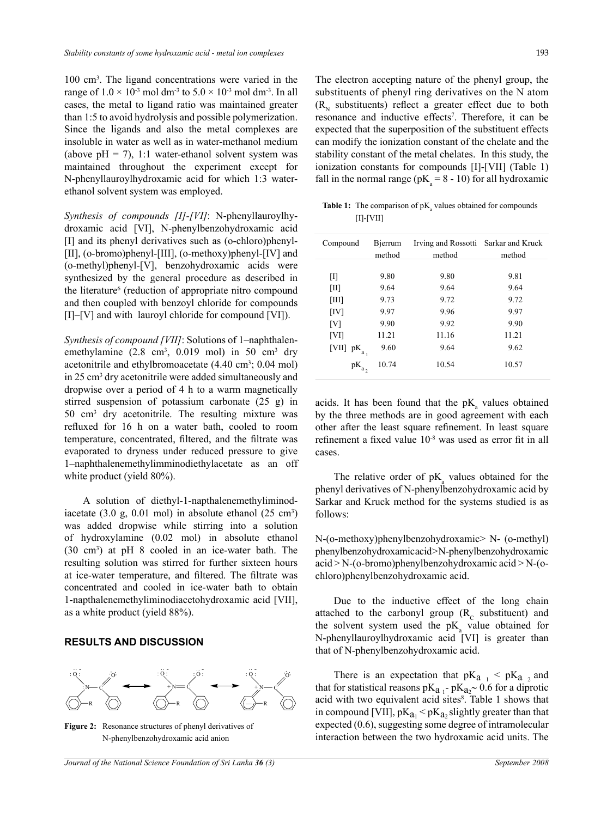100 cm3 . The ligand concentrations were varied in the range of  $1.0 \times 10^{-3}$  mol dm<sup>-3</sup> to  $5.0 \times 10^{-3}$  mol dm<sup>-3</sup>. In all cases, the metal to ligand ratio was maintained greater than 1:5 to avoid hydrolysis and possible polymerization. Since the ligands and also the metal complexes are insoluble in water as well as in water-methanol medium (above  $pH = 7$ ), 1:1 water-ethanol solvent system was maintained throughout the experiment except for N-phenyllauroylhydroxamic acid for which 1:3 waterethanol solvent system was employed.

*Synthesis of compounds [I]-[VI]*: N-phenyllauroylhydroxamic acid [VI], N-phenylbenzohydroxamic acid [I] and its phenyl derivatives such as (o-chloro)phenyl- [II], (o-bromo)phenyl-[III], (o-methoxy)phenyl-[IV] and (o-methyl)phenyl-[V], benzohydroxamic acids were synthesized by the general procedure as described in the literature<sup>6</sup> (reduction of appropriate nitro compound and then coupled with benzoyl chloride for compounds [I]–[V] and with lauroyl chloride for compound [VI]).

*Synthesis of compound [VII]*: Solutions of 1–naphthalenemethylamine  $(2.8 \text{ cm}^3, 0.019 \text{ mol})$  in 50 cm<sup>3</sup> dry acetonitrile and ethylbromoacetate (4.40 cm<sup>3</sup>; 0.04 mol) in 25 cm3 dry acetonitrile were added simultaneously and dropwise over a period of 4 h to a warm magnetically stirred suspension of potassium carbonate (25 g) in 50 cm3 dry acetonitrile. The resulting mixture was refluxed for 16 h on a water bath, cooled to room temperature, concentrated, filtered, and the filtrate was evaporated to dryness under reduced pressure to give 1–naphthalenemethylimminodiethylacetate as an off white product (yield 80%).

A solution of diethyl-1-napthalenemethyliminodiacetate  $(3.0 \text{ g}, 0.01 \text{ mol})$  in absolute ethanol  $(25 \text{ cm}^3)$ was added dropwise while stirring into a solution of hydroxylamine (0.02 mol) in absolute ethanol (30 cm3 ) at pH 8 cooled in an ice-water bath. The resulting solution was stirred for further sixteen hours at ice-water temperature, and filtered. The filtrate was concentrated and cooled in ice-water bath to obtain 1-napthalenemethyliminodiacetohydroxamic acid [VII], as a white product (yield 88%).

#### **Results and Discussion**



**Figure 2:** Resonance structures of phenyl derivatives of N-phenylbenzohydroxamic acid anion

The electron accepting nature of the phenyl group, the substituents of phenyl ring derivatives on the N atom  $(R_{N}$  substituents) reflect a greater effect due to both resonance and inductive effects<sup>7</sup>. Therefore, it can be expected that the superposition of the substituent effects can modify the ionization constant of the chelate and the stability constant of the metal chelates. In this study, the ionization constants for compounds [I]-[VII] (Table 1) fall in the normal range ( $pK_a = 8 - 10$ ) for all hydroxamic

**Table 1:** The comparison of  $pK_a$  values obtained for compounds [I]-[VII]

| Compound                    | Bierrum<br>method | Irving and Rossotti Sarkar and Kruck<br>method | method |
|-----------------------------|-------------------|------------------------------------------------|--------|
| Ш                           | 9.80              | 9.80                                           | 9.81   |
| $\left[\text{III}\right]$   | 9.64              | 9.64                                           | 9.64   |
| $\left[ \text{III} \right]$ | 9.73              | 9.72                                           | 9.72   |
| [IV]                        | 9.97              | 9.96                                           | 9.97   |
| [V]                         | 9.90              | 9.92                                           | 9.90   |
| [V <sub>1</sub> ]           | 11.21             | 11.16                                          | 11.21  |
| [VII]<br>$pK_a$             | 9.60              | 9.64                                           | 9.62   |
| рK                          | 10.74             | 10.54                                          | 10.57  |

acids. It has been found that the  $pK_a$  values obtained by the three methods are in good agreement with each other after the least square refinement. In least square refinement a fixed value 10-8 was used as error fit in all cases.

The relative order of  $pK_a$  values obtained for the phenyl derivatives of N-phenylbenzohydroxamic acid by Sarkar and Kruck method for the systems studied is as follows:

N-(o-methoxy)phenylbenzohydroxamic> N- (o-methyl) phenylbenzohydroxamic acid > N-phenylbenzohydroxamic acid > N-(o-bromo)phenylbenzohydroxamic acid > N-(ochloro)phenylbenzohydroxamic acid.

Due to the inductive effect of the long chain attached to the carbonyl group  $(R_c$  substituent) and the solvent system used the  $pK_a$  value obtained for N-phenyllauroylhydroxamic acid [VI] is greater than that of N-phenylbenzohydroxamic acid.

There is an expectation that  $pK_{a_1} < pK_{a_2}$  and that for statistical reasons  $pK_{a_1}$ -  $pK_{a_2}$ ~ 0.6 for a diprotic acid with two equivalent acid sites<sup>8</sup>. Table 1 shows that in compound [VII],  $pK_{a_1} < pK_{a_2}$  slightly greater than that expected (0.6), suggesting some degree of intramolecular interaction between the two hydroxamic acid units. The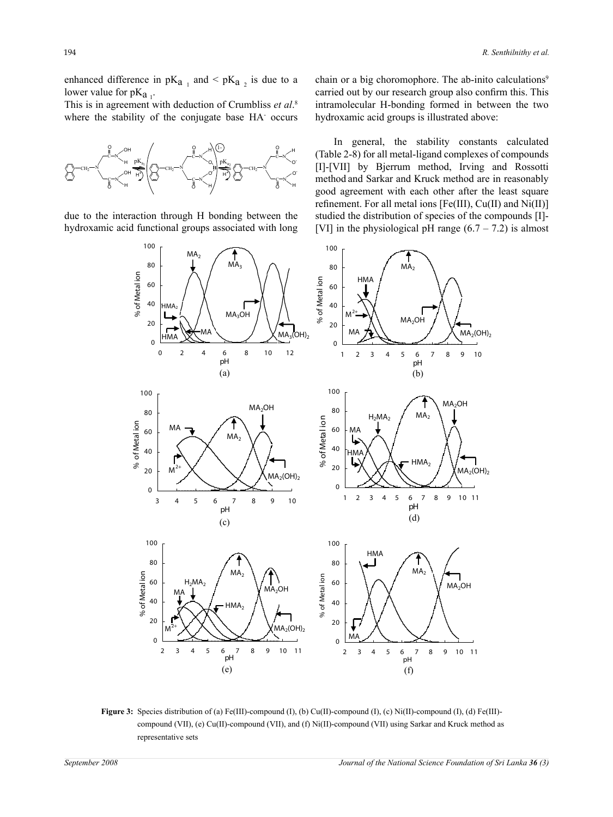enhanced difference in  $pK_{a_1}$  and  $\leq pK_{a_2}$  is due to a lower value for  $pK_{a_1}$ .

This is in agreement with deduction of Crumbliss *et al*. 8 where the stability of the conjugate base HA occurs



due to the interaction through H bonding between the hydroxamic acid functional groups associated with long chain or a big choromophore. The ab-inito calculations<sup>9</sup> carried out by our research group also confirm this. This intramolecular H-bonding formed in between the two hydroxamic acid groups is illustrated above:

In general, the stability constants calculated (Table 2-8) for all metal-ligand complexes of compounds [I]-[VII] by Bjerrum method, Irving and Rossotti method and Sarkar and Kruck method are in reasonably good agreement with each other after the least square refinement. For all metal ions [Fe(III), Cu(II) and Ni(II)] studied the distribution of species of the compounds [I]- [VI] in the physiological pH range  $(6.7 - 7.2)$  is almost



**Figure 3:** Species distribution of (a) Fe(III)-compound (I), (b) Cu(II)-compound (I), (c) Ni(II)-compound (I), (d) Fe(III) compound (VII), (e) Cu(II)-compound (VII), and (f) Ni(II)-compound (VII) using Sarkar and Kruck method as representative sets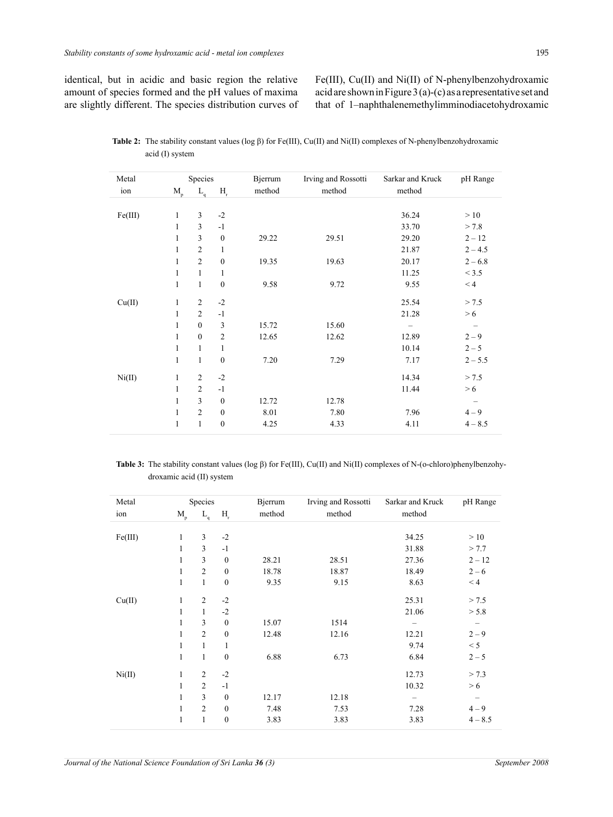identical, but in acidic and basic region the relative amount of species formed and the pH values of maxima are slightly different. The species distribution curves of Fe(III), Cu(II) and Ni(II) of N-phenylbenzohydroxamic acid are shown in Figure 3 (a)-(c) as a representative set and that of 1–naphthalenemethylimminodiacetohydroxamic

| Metal   |                         | Species            |                           | Bjerrum | Irving and Rossotti | Sarkar and Kruck | pH Range                 |
|---------|-------------------------|--------------------|---------------------------|---------|---------------------|------------------|--------------------------|
| ion     | $\mathbf{M}_{_{\rm p}}$ | $L_{\mathfrak{q}}$ | $\mathbf{H}_{\mathrm{r}}$ | method  | method              | method           |                          |
|         |                         |                    |                           |         |                     |                  |                          |
| Fe(III) | 1                       | 3                  | $-2$                      |         |                     | 36.24            | >10                      |
|         | $\mathbf{1}$            | 3                  | $-1$                      |         |                     | 33.70            | > 7.8                    |
|         | $\mathbf{1}$            | 3                  | $\boldsymbol{0}$          | 29.22   | 29.51               | 29.20            | $2 - 12$                 |
|         | 1                       | $\overline{2}$     | 1                         |         |                     | 21.87            | $2 - 4.5$                |
|         | 1                       | $\overline{2}$     | $\boldsymbol{0}$          | 19.35   | 19.63               | 20.17            | $2 - 6.8$                |
|         | 1                       | 1                  | 1                         |         |                     | 11.25            | < 3.5                    |
|         | $\mathbf{1}$            | $\mathbf{1}$       | $\mathbf{0}$              | 9.58    | 9.72                | 9.55             | < 4                      |
| Cu(II)  | 1                       | $\overline{2}$     | $-2$                      |         |                     | 25.54            | > 7.5                    |
|         | $\mathbf{1}$            | $\overline{2}$     | $-1$                      |         |                     | 21.28            | > 6                      |
|         | $\mathbf{1}$            | $\overline{0}$     | 3                         | 15.72   | 15.60               |                  | $\overline{\phantom{m}}$ |
|         | 1                       | $\overline{0}$     | $\overline{c}$            | 12.65   | 12.62               | 12.89            | $2 - 9$                  |
|         | 1                       | $\mathbf{1}$       | 1                         |         |                     | 10.14            | $2 - 5$                  |
|         | $\mathbf{1}$            | $\mathbf{1}$       | $\boldsymbol{0}$          | 7.20    | 7.29                | 7.17             | $2 - 5.5$                |
| Ni(II)  | 1                       | $\overline{2}$     | $-2$                      |         |                     | 14.34            | > 7.5                    |
|         | $\mathbf{1}$            | $\overline{2}$     | $-1$                      |         |                     | 11.44            | > 6                      |
|         | $\mathbf{1}$            | $\mathfrak{Z}$     | $\boldsymbol{0}$          | 12.72   | 12.78               |                  | $\qquad \qquad -$        |
|         | 1                       | $\overline{2}$     | $\boldsymbol{0}$          | 8.01    | 7.80                | 7.96             | $4 - 9$                  |
|         | 1                       | $\mathbf{1}$       | $\boldsymbol{0}$          | 4.25    | 4.33                | 4.11             | $4 - 8.5$                |

**Table 2:** The stability constant values (log β) for Fe(III), Cu(II) and Ni(II) complexes of N-phenylbenzohydroxamic acid (I) system

**Table 3:** The stability constant values (log β) for Fe(III), Cu(II) and Ni(II) complexes of N-(o-chloro)phenylbenzohydroxamic acid (II) system

| Metal   |              | Species        |                  | Bjerrum | Irving and Rossotti | Sarkar and Kruck | pH Range          |
|---------|--------------|----------------|------------------|---------|---------------------|------------------|-------------------|
| ion     | $M_{\rm p}$  | $L_q$          | $H_r$            | method  | method              | method           |                   |
| Fe(III) | 1            | 3              | $-2$             |         |                     | 34.25            | >10               |
|         | 1            | 3              | $-1$             |         |                     | 31.88            | > 7.7             |
|         | 1            | 3              | $\boldsymbol{0}$ | 28.21   | 28.51               | 27.36            | $2 - 12$          |
|         | 1            | $\overline{2}$ | $\boldsymbol{0}$ | 18.78   | 18.87               | 18.49            | $2 - 6$           |
|         | $\mathbf{1}$ | $\mathbf{1}$   | $\boldsymbol{0}$ | 9.35    | 9.15                | 8.63             | < 4               |
| Cu(II)  | 1            | $\overline{c}$ | $-2$             |         |                     | 25.31            | > 7.5             |
|         | $\mathbf{1}$ | $\mathbf{1}$   | $-2$             |         |                     | 21.06            | > 5.8             |
|         | 1            | 3              | $\mathbf{0}$     | 15.07   | 1514                |                  |                   |
|         | 1            | $\overline{2}$ | $\boldsymbol{0}$ | 12.48   | 12.16               | 12.21            | $2 - 9$           |
|         | $\mathbf{1}$ | $\mathbf{1}$   | 1                |         |                     | 9.74             | $< 5\,$           |
|         | $\mathbf{1}$ | $\mathbf{1}$   | $\boldsymbol{0}$ | 6.88    | 6.73                | 6.84             | $2 - 5$           |
| Ni(II)  | 1            | $\overline{c}$ | $-2$             |         |                     | 12.73            | > 7.3             |
|         | $\mathbf{1}$ | $\overline{2}$ | $-1$             |         |                     | 10.32            | > 6               |
|         | 1            | 3              | $\boldsymbol{0}$ | 12.17   | 12.18               |                  | $\qquad \qquad -$ |
|         | $\mathbf{1}$ | $\overline{c}$ | $\boldsymbol{0}$ | 7.48    | 7.53                | 7.28             | $4 - 9$           |
|         | 1            | $\mathbf{1}$   | $\boldsymbol{0}$ | 3.83    | 3.83                | 3.83             | $4 - 8.5$         |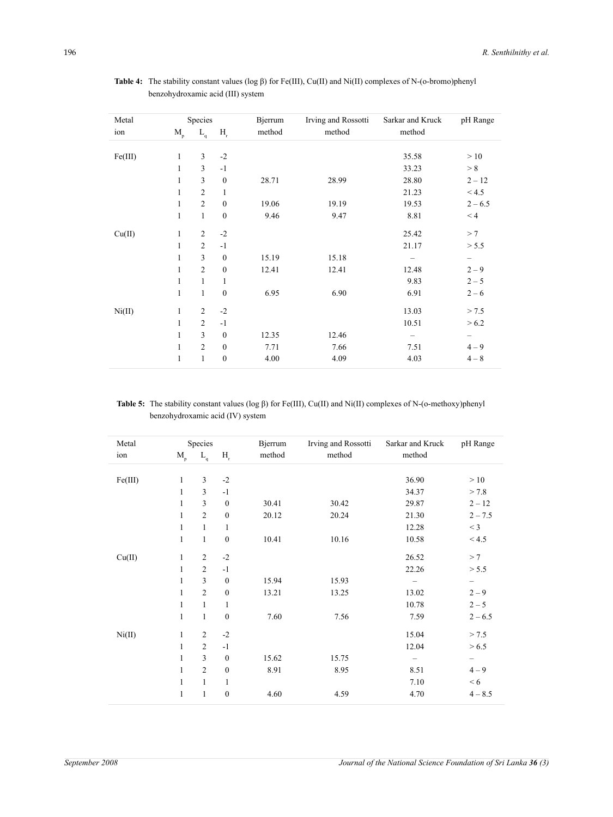| Metal   | Species      |                |                  | Bjerrum | Irving and Rossotti | Sarkar and Kruck | pH Range  |
|---------|--------------|----------------|------------------|---------|---------------------|------------------|-----------|
| ion     | $M_{\rm p}$  | $L_q$          | $H_r$            | method  | method              | method           |           |
|         |              |                |                  |         |                     |                  |           |
| Fe(III) | $\mathbf{1}$ | 3              | $-2$             |         |                     | 35.58            | >10       |
|         | $\mathbf{1}$ | 3              | $-1$             |         |                     | 33.23            | > 8       |
|         | 1            | $\overline{3}$ | $\boldsymbol{0}$ | 28.71   | 28.99               | 28.80            | $2 - 12$  |
|         | 1            | $\overline{c}$ | $\mathbf{1}$     |         |                     | 21.23            | < 4.5     |
|         | 1            | $\overline{2}$ | $\boldsymbol{0}$ | 19.06   | 19.19               | 19.53            | $2 - 6.5$ |
|         | 1            | $\mathbf{1}$   | $\boldsymbol{0}$ | 9.46    | 9.47                | 8.81             | < 4       |
| Cu(II)  | $\mathbf{1}$ | $\overline{c}$ | $-2$             |         |                     | 25.42            | >7        |
|         | $\mathbf{1}$ | $\overline{2}$ | $-1$             |         |                     | 21.17            | > 5.5     |
|         | 1            | $\overline{3}$ | $\boldsymbol{0}$ | 15.19   | 15.18               |                  | -         |
|         | 1            | $\overline{c}$ | $\boldsymbol{0}$ | 12.41   | 12.41               | 12.48            | $2 - 9$   |
|         | $\mathbf{1}$ | $\mathbf{1}$   | $\mathbf{1}$     |         |                     | 9.83             | $2 - 5$   |
|         | 1            | $\mathbf{1}$   | $\boldsymbol{0}$ | 6.95    | 6.90                | 6.91             | $2 - 6$   |
| Ni(II)  | $\mathbf{1}$ | $\overline{c}$ | $-2$             |         |                     | 13.03            | > 7.5     |
|         | $\mathbf{1}$ | $\overline{2}$ | $-1$             |         |                     | 10.51            | > 6.2     |
|         | 1            | $\overline{3}$ | $\boldsymbol{0}$ | 12.35   | 12.46               |                  | -         |
|         | 1            | $\overline{2}$ | $\boldsymbol{0}$ | 7.71    | 7.66                | 7.51             | $4 - 9$   |
|         | 1            | $\mathbf{1}$   | $\boldsymbol{0}$ | 4.00    | 4.09                | 4.03             | $4 - 8$   |

**Table 4:** The stability constant values (log β) for Fe(III), Cu(II) and Ni(II) complexes of N-(o-bromo)phenyl benzohydroxamic acid (III) system

**Table 5:** The stability constant values (log β) for Fe(III), Cu(II) and Ni(II) complexes of N-(o-methoxy)phenyl benzohydroxamic acid (IV) system

| Metal   |                      | Species        |                  | Bjerrum | Irving and Rossotti | Sarkar and Kruck  | pH Range                 |
|---------|----------------------|----------------|------------------|---------|---------------------|-------------------|--------------------------|
| ion     | $\mathbf{M}_{\rm p}$ | $L_q$          | $H_r$            | method  | method              | method            |                          |
|         |                      |                |                  |         |                     |                   |                          |
| Fe(III) | $\mathbf{1}$         | 3              | $-2$             |         |                     | 36.90             | >10                      |
|         | 1                    | 3              | $-1$             |         |                     | 34.37             | > 7.8                    |
|         | 1                    | 3              | $\boldsymbol{0}$ | 30.41   | 30.42               | 29.87             | $2 - 12$                 |
|         | 1                    | $\overline{c}$ | $\boldsymbol{0}$ | 20.12   | 20.24               | 21.30             | $2 - 7.5$                |
|         | 1                    | $\mathbf{1}$   | $\mathbf{1}$     |         |                     | 12.28             | $<$ 3                    |
|         | 1                    | 1              | $\boldsymbol{0}$ | 10.41   | 10.16               | 10.58             | < 4.5                    |
| Cu(II)  | $\mathbf{1}$         | $\overline{c}$ | $-2$             |         |                     | 26.52             | >7                       |
|         | $\mathbf{1}$         | $\overline{c}$ | $-1$             |         |                     | 22.26             | > 5.5                    |
|         | 1                    | 3              | $\boldsymbol{0}$ | 15.94   | 15.93               |                   | $\overline{\phantom{a}}$ |
|         | 1                    | $\overline{c}$ | $\boldsymbol{0}$ | 13.21   | 13.25               | 13.02             | $2 - 9$                  |
|         | 1                    | $\mathbf{1}$   | $\mathbf{1}$     |         |                     | 10.78             | $2 - 5$                  |
|         | 1                    | $\mathbf{1}$   | $\boldsymbol{0}$ | 7.60    | 7.56                | 7.59              | $2 - 6.5$                |
| Ni(II)  | $\mathbf{1}$         | $\overline{c}$ | $-2$             |         |                     | 15.04             | > 7.5                    |
|         | 1                    | $\overline{c}$ | $-1$             |         |                     | 12.04             | > 6.5                    |
|         | 1                    | 3              | $\boldsymbol{0}$ | 15.62   | 15.75               | $\qquad \qquad -$ | $\qquad \qquad -$        |
|         | $\mathbf{1}$         | $\overline{2}$ | $\boldsymbol{0}$ | 8.91    | 8.95                | 8.51              | $4 - 9$                  |
|         | 1                    | 1              | $\mathbf{1}$     |         |                     | 7.10              | < 6                      |
|         | 1                    | 1              | $\boldsymbol{0}$ | 4.60    | 4.59                | 4.70              | $4 - 8.5$                |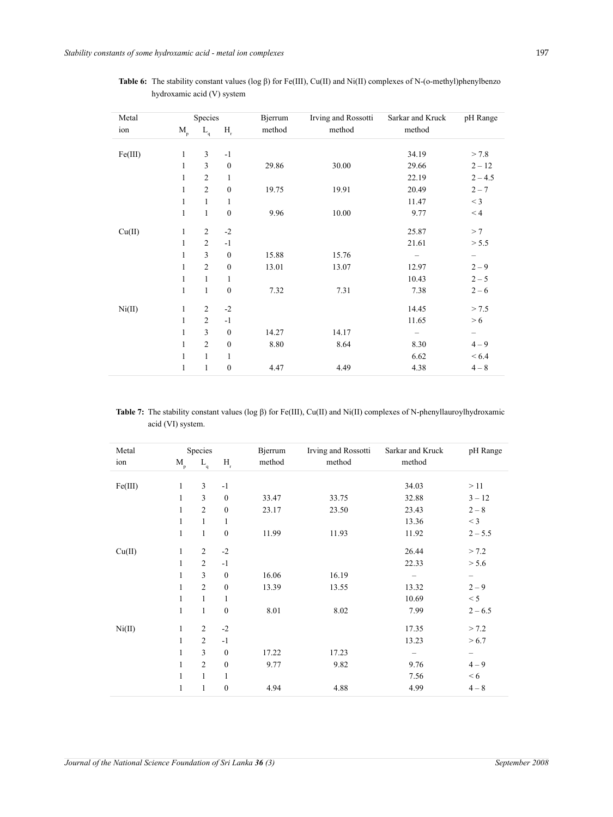| Metal   |              | Species                    |                           | <b>Bjerrum</b> | Irving and Rossotti | Sarkar and Kruck | pH Range  |
|---------|--------------|----------------------------|---------------------------|----------------|---------------------|------------------|-----------|
| ion     | $M_{\rm p}$  | $\mathcal{L}_{\mathsf{q}}$ | $\mathbf{H}_{\mathrm{r}}$ | method         | method              | method           |           |
|         |              |                            |                           |                |                     |                  |           |
| Fe(III) | $\mathbf{1}$ | 3                          | $-1$                      |                |                     | 34.19            | > 7.8     |
|         | 1            | 3                          | $\boldsymbol{0}$          | 29.86          | 30.00               | 29.66            | $2 - 12$  |
|         | 1            | $\overline{2}$             | $\mathbf{1}$              |                |                     | 22.19            | $2 - 4.5$ |
|         | $\mathbf{1}$ | $\overline{2}$             | $\boldsymbol{0}$          | 19.75          | 19.91               | 20.49            | $2 - 7$   |
|         | 1            | $\mathbf{1}$               | 1                         |                |                     | 11.47            | $<$ 3     |
|         | 1            | $\mathbf{1}$               | $\boldsymbol{0}$          | 9.96           | 10.00               | 9.77             | < 4       |
| Cu(II)  | $\mathbf{1}$ | $\overline{c}$             | $-2$                      |                |                     | 25.87            | >7        |
|         | $\mathbf{1}$ | $\overline{2}$             | $-1$                      |                |                     | 21.61            | > 5.5     |
|         | 1            | 3                          | $\boldsymbol{0}$          | 15.88          | 15.76               |                  |           |
|         | 1            | $\overline{c}$             | $\boldsymbol{0}$          | 13.01          | 13.07               | 12.97            | $2 - 9$   |
|         | 1            | $\mathbf{1}$               | $\mathbf{1}$              |                |                     | 10.43            | $2 - 5$   |
|         | 1            | 1                          | $\boldsymbol{0}$          | 7.32           | 7.31                | 7.38             | $2 - 6$   |
| Ni(II)  | $\mathbf{1}$ | $\overline{2}$             | $-2$                      |                |                     | 14.45            | > 7.5     |
|         | $\mathbf{1}$ | $\overline{2}$             | $-1$                      |                |                     | 11.65            | > 6       |
|         | $\mathbf{1}$ | 3                          | $\boldsymbol{0}$          | 14.27          | 14.17               |                  | —         |
|         | $\mathbf{1}$ | $\overline{c}$             | $\boldsymbol{0}$          | 8.80           | 8.64                | 8.30             | $4 - 9$   |
|         | $\mathbf{1}$ | $\mathbf{1}$               | $\mathbf{1}$              |                |                     | 6.62             | ${}< 6.4$ |
|         | 1            | 1                          | $\boldsymbol{0}$          | 4.47           | 4.49                | 4.38             | $4 - 8$   |

**Table 6:** The stability constant values (log β) for Fe(III), Cu(II) and Ni(II) complexes of N-(o-methyl)phenylbenzo hydroxamic acid (V) system

**Table 7:** The stability constant values (log β) for Fe(III), Cu(II) and Ni(II) complexes of N-phenyllauroylhydroxamic acid (VI) system.

| Metal   |                         | Species           |                                 | Bjerrum | Irving and Rossotti | Sarkar and Kruck | pH Range          |
|---------|-------------------------|-------------------|---------------------------------|---------|---------------------|------------------|-------------------|
| ion     | $\mathbf{M}_{_{\rm p}}$ | $\underline{L}_q$ | $\mathbf{H}_{_{\! \mathrm{r}}}$ | method  | method              | method           |                   |
|         |                         |                   |                                 |         |                     |                  |                   |
| Fe(III) | $\mathbf{1}$            | 3                 | $-1$                            |         |                     | 34.03            | >11               |
|         | $\mathbf{1}$            | 3                 | $\boldsymbol{0}$                | 33.47   | 33.75               | 32.88            | $3 - 12$          |
|         | $\mathbf{1}$            | $\overline{2}$    | $\boldsymbol{0}$                | 23.17   | 23.50               | 23.43            | $2 - 8$           |
|         | $\mathbf{1}$            | $\mathbf{1}$      | $\mathbf{1}$                    |         |                     | 13.36            | $<$ 3             |
|         | $\mathbf{1}$            | $\mathbf{1}$      | $\boldsymbol{0}$                | 11.99   | 11.93               | 11.92            | $2 - 5.5$         |
| Cu(II)  | $\mathbf{1}$            | $\overline{2}$    | $-2$                            |         |                     | 26.44            | > 7.2             |
|         | $\mathbf{1}$            | $\overline{2}$    | $-1$                            |         |                     | 22.33            | > 5.6             |
|         | $\mathbf{1}$            | 3                 | $\boldsymbol{0}$                | 16.06   | 16.19               |                  | $\qquad \qquad -$ |
|         | $\mathbf{1}$            | $\overline{2}$    | $\boldsymbol{0}$                | 13.39   | 13.55               | 13.32            | $2 - 9$           |
|         | $\mathbf{1}$            | $\mathbf{1}$      | 1                               |         |                     | 10.69            | < 5               |
|         | $\mathbf{1}$            | $\mathbf{1}$      | $\boldsymbol{0}$                | 8.01    | 8.02                | 7.99             | $2 - 6.5$         |
| Ni(II)  | $\mathbf{1}$            | 2                 | $-2$                            |         |                     | 17.35            | > 7.2             |
|         | $\mathbf{1}$            | 2                 | $-1$                            |         |                     | 13.23            | > 6.7             |
|         | $\mathbf{1}$            | $\overline{3}$    | $\boldsymbol{0}$                | 17.22   | 17.23               | -                | $\qquad \qquad -$ |
|         | $\mathbf{1}$            | $\overline{2}$    | $\boldsymbol{0}$                | 9.77    | 9.82                | 9.76             | $4 - 9$           |
|         | $\mathbf{1}$            | $\mathbf{1}$      | 1                               |         |                     | 7.56             | < 6               |
|         | $\mathbf{1}$            | 1                 | $\boldsymbol{0}$                | 4.94    | 4.88                | 4.99             | $4 - 8$           |